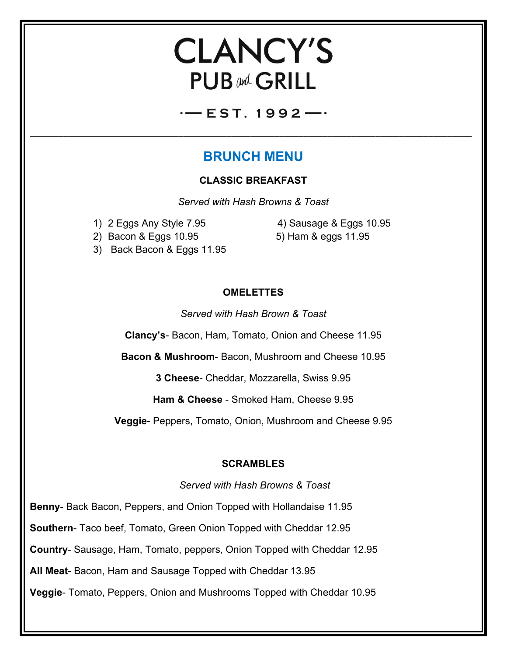# **CLANCY'S PUB and GRILL**

 $-$  EST. 1992 $-$ 

\_\_\_\_\_\_\_\_\_\_\_\_\_\_\_\_\_\_\_\_\_\_\_\_\_\_\_\_\_\_\_\_\_\_\_\_\_\_\_\_\_\_\_\_\_\_\_\_\_\_\_\_\_\_\_\_\_\_\_\_\_\_\_\_\_\_\_\_\_\_\_\_\_\_\_\_\_\_\_\_\_\_\_\_\_\_\_\_\_\_\_\_

## **BRUNCH MENU**

#### **CLASSIC BREAKFAST**

*Served with Hash Browns & Toast*

1) 2 Eggs Any Style 7.95 4) Sausage & Eggs 10.95 2) Bacon & Eggs 10.95 5) Ham & eggs 11.95

3) Back Bacon & Eggs 11.95

### **OMELETTES**

*Served with Hash Brown & Toast*

**Clancy's**- Bacon, Ham, Tomato, Onion and Cheese 11.95

**Bacon & Mushroom**- Bacon, Mushroom and Cheese 10.95

**3 Cheese**- Cheddar, Mozzarella, Swiss 9.95

**Ham & Cheese** - Smoked Ham, Cheese 9.95

**Veggie**- Peppers, Tomato, Onion, Mushroom and Cheese 9.95

#### **SCRAMBLES**

*Served with Hash Browns & Toast*

**Benny**- Back Bacon, Peppers, and Onion Topped with Hollandaise 11.95 **Southern**- Taco beef, Tomato, Green Onion Topped with Cheddar 12.95 **Country**- Sausage, Ham, Tomato, peppers, Onion Topped with Cheddar 12.95 **All Meat**- Bacon, Ham and Sausage Topped with Cheddar 13.95 **Veggie**- Tomato, Peppers, Onion and Mushrooms Topped with Cheddar 10.95